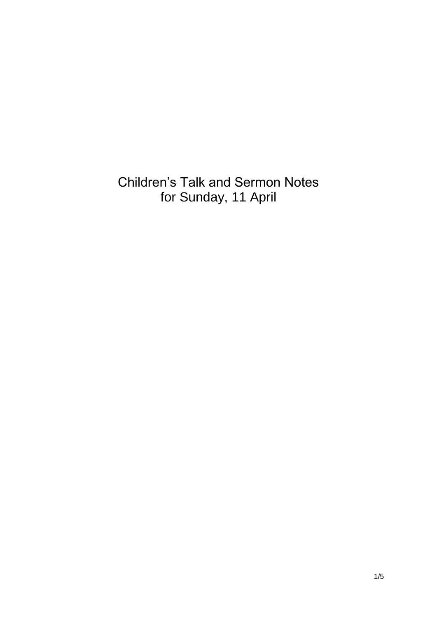Children's Talk and Sermon Notes for Sunday, 11 April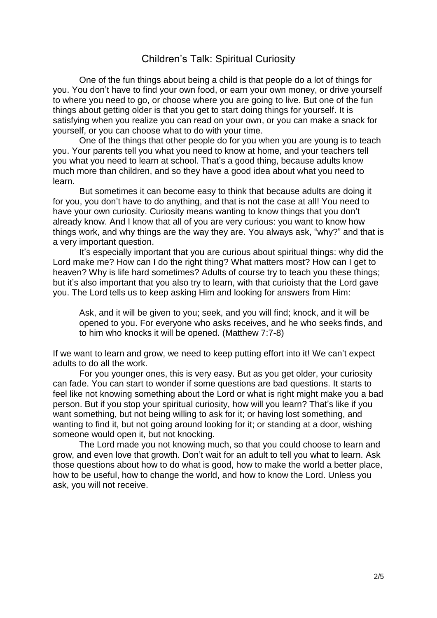## Children's Talk: Spiritual Curiosity

One of the fun things about being a child is that people do a lot of things for you. You don't have to find your own food, or earn your own money, or drive yourself to where you need to go, or choose where you are going to live. But one of the fun things about getting older is that you get to start doing things for yourself. It is satisfying when you realize you can read on your own, or you can make a snack for yourself, or you can choose what to do with your time.

One of the things that other people do for you when you are young is to teach you. Your parents tell you what you need to know at home, and your teachers tell you what you need to learn at school. That's a good thing, because adults know much more than children, and so they have a good idea about what you need to learn.

But sometimes it can become easy to think that because adults are doing it for you, you don't have to do anything, and that is not the case at all! You need to have your own curiosity. Curiosity means wanting to know things that you don't already know. And I know that all of you are very curious: you want to know how things work, and why things are the way they are. You always ask, "why?" and that is a very important question.

It's especially important that you are curious about spiritual things: why did the Lord make me? How can I do the right thing? What matters most? How can I get to heaven? Why is life hard sometimes? Adults of course try to teach you these things; but it's also important that you also try to learn, with that curioisty that the Lord gave you. The Lord tells us to keep asking Him and looking for answers from Him:

Ask, and it will be given to you; seek, and you will find; knock, and it will be opened to you. For everyone who asks receives, and he who seeks finds, and to him who knocks it will be opened. (Matthew 7:7-8)

If we want to learn and grow, we need to keep putting effort into it! We can't expect adults to do all the work.

For you younger ones, this is very easy. But as you get older, your curiosity can fade. You can start to wonder if some questions are bad questions. It starts to feel like not knowing something about the Lord or what is right might make you a bad person. But if you stop your spiritual curiosity, how will you learn? That's like if you want something, but not being willing to ask for it; or having lost something, and wanting to find it, but not going around looking for it; or standing at a door, wishing someone would open it, but not knocking.

The Lord made you not knowing much, so that you could choose to learn and grow, and even love that growth. Don't wait for an adult to tell you what to learn. Ask those questions about how to do what is good, how to make the world a better place, how to be useful, how to change the world, and how to know the Lord. Unless you ask, you will not receive.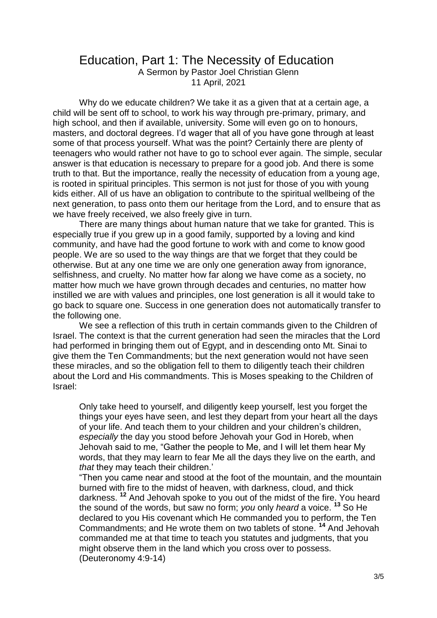## Education, Part 1: The Necessity of Education

A Sermon by Pastor Joel Christian Glenn 11 April, 2021

Why do we educate children? We take it as a given that at a certain age, a child will be sent off to school, to work his way through pre-primary, primary, and high school, and then if available, university. Some will even go on to honours, masters, and doctoral degrees. I'd wager that all of you have gone through at least some of that process yourself. What was the point? Certainly there are plenty of teenagers who would rather not have to go to school ever again. The simple, secular answer is that education is necessary to prepare for a good job. And there is some truth to that. But the importance, really the necessity of education from a young age, is rooted in spiritual principles. This sermon is not just for those of you with young kids either. All of us have an obligation to contribute to the spiritual wellbeing of the next generation, to pass onto them our heritage from the Lord, and to ensure that as we have freely received, we also freely give in turn.

There are many things about human nature that we take for granted. This is especially true if you grew up in a good family, supported by a loving and kind community, and have had the good fortune to work with and come to know good people. We are so used to the way things are that we forget that they could be otherwise. But at any one time we are only one generation away from ignorance, selfishness, and cruelty. No matter how far along we have come as a society, no matter how much we have grown through decades and centuries, no matter how instilled we are with values and principles, one lost generation is all it would take to go back to square one. Success in one generation does not automatically transfer to the following one.

We see a reflection of this truth in certain commands given to the Children of Israel. The context is that the current generation had seen the miracles that the Lord had performed in bringing them out of Egypt, and in descending onto Mt. Sinai to give them the Ten Commandments; but the next generation would not have seen these miracles, and so the obligation fell to them to diligently teach their children about the Lord and His commandments. This is Moses speaking to the Children of Israel:

Only take heed to yourself, and diligently keep yourself, lest you forget the things your eyes have seen, and lest they depart from your heart all the days of your life. And teach them to your children and your children's children, *especially* the day you stood before Jehovah your God in Horeb, when Jehovah said to me, "Gather the people to Me, and I will let them hear My words, that they may learn to fear Me all the days they live on the earth, and *that* they may teach their children.'

"Then you came near and stood at the foot of the mountain, and the mountain burned with fire to the midst of heaven, with darkness, cloud, and thick darkness. **<sup>12</sup>** And Jehovah spoke to you out of the midst of the fire. You heard the sound of the words, but saw no form; *you* only *heard* a voice. **<sup>13</sup>** So He declared to you His covenant which He commanded you to perform, the Ten Commandments; and He wrote them on two tablets of stone. **<sup>14</sup>** And Jehovah commanded me at that time to teach you statutes and judgments, that you might observe them in the land which you cross over to possess. (Deuteronomy 4:9-14)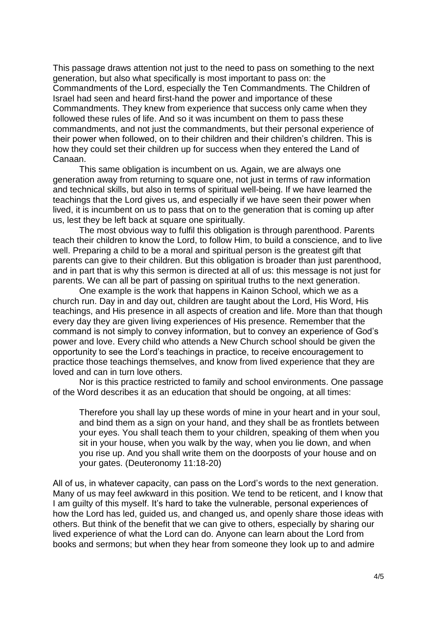This passage draws attention not just to the need to pass on something to the next generation, but also what specifically is most important to pass on: the Commandments of the Lord, especially the Ten Commandments. The Children of Israel had seen and heard first-hand the power and importance of these Commandments. They knew from experience that success only came when they followed these rules of life. And so it was incumbent on them to pass these commandments, and not just the commandments, but their personal experience of their power when followed, on to their children and their children's children. This is how they could set their children up for success when they entered the Land of Canaan.

This same obligation is incumbent on us. Again, we are always one generation away from returning to square one, not just in terms of raw information and technical skills, but also in terms of spiritual well-being. If we have learned the teachings that the Lord gives us, and especially if we have seen their power when lived, it is incumbent on us to pass that on to the generation that is coming up after us, lest they be left back at square one spiritually.

The most obvious way to fulfil this obligation is through parenthood. Parents teach their children to know the Lord, to follow Him, to build a conscience, and to live well. Preparing a child to be a moral and spiritual person is the greatest gift that parents can give to their children. But this obligation is broader than just parenthood, and in part that is why this sermon is directed at all of us: this message is not just for parents. We can all be part of passing on spiritual truths to the next generation.

One example is the work that happens in Kainon School, which we as a church run. Day in and day out, children are taught about the Lord, His Word, His teachings, and His presence in all aspects of creation and life. More than that though every day they are given living experiences of His presence. Remember that the command is not simply to convey information, but to convey an experience of God's power and love. Every child who attends a New Church school should be given the opportunity to see the Lord's teachings in practice, to receive encouragement to practice those teachings themselves, and know from lived experience that they are loved and can in turn love others.

Nor is this practice restricted to family and school environments. One passage of the Word describes it as an education that should be ongoing, at all times:

Therefore you shall lay up these words of mine in your heart and in your soul, and bind them as a sign on your hand, and they shall be as frontlets between your eyes. You shall teach them to your children, speaking of them when you sit in your house, when you walk by the way, when you lie down, and when you rise up. And you shall write them on the doorposts of your house and on your gates. (Deuteronomy 11:18-20)

All of us, in whatever capacity, can pass on the Lord's words to the next generation. Many of us may feel awkward in this position. We tend to be reticent, and I know that I am guilty of this myself. It's hard to take the vulnerable, personal experiences of how the Lord has led, guided us, and changed us, and openly share those ideas with others. But think of the benefit that we can give to others, especially by sharing our lived experience of what the Lord can do. Anyone can learn about the Lord from books and sermons; but when they hear from someone they look up to and admire